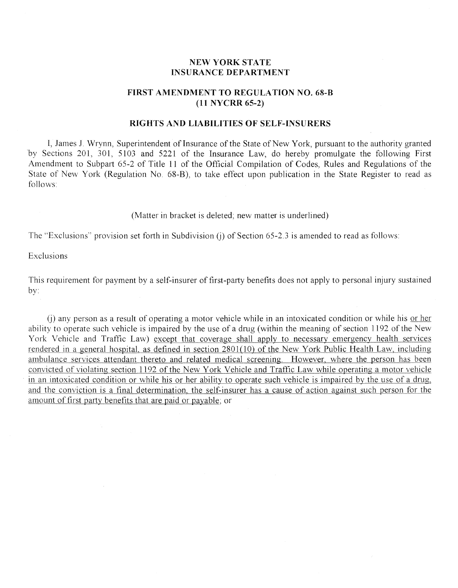## **NEW YORK STATE INSURANCE DEPARTMENT**

## **FIRST AMENDMENT TO REGULATION NO. 68-B (11 NYCRR 65-2)**

## **RIGHTS AND LIABILITIES OF SELF-INSURERS**

I, James J. Wrynn, Superintendent of Insurance of the State of New York, pursuant to the authority granted by Sections 201, 301, 5103 and 5221 of the Insurance Law, do hereby promulgate the following First Amendment to Subpart 65-2 of Title 11 of the Official Compilation of Codes, Rules and Regulations of the State of New York (Regulation No. 68-B), to take effect upon publication in the State Register to read as follows

## (Matter in bracket is deleted; new matter is underlined)

The "Exclusions" provision set forth in Subdivision (j) of Section 65-2.3 is amended to read as follows:

Exclusions

This requirement for payment by a self-insurer of first-party benefits does not apply to personal injury sustained  $by:$ 

(i) any person as a result of operating a motor vehicle while in an intoxicated condition or while his <u>or her</u> ability to operate such vehicle is impaired by the use of a drug (within the meaning of section 1192 of the New York Vehicle and Traffic Law) except that coverage shall apply to necessary emergency health services rendered in a general hospital, as defined in section 2801(10) of the New York Public Health Law, including ambulance services attendant thereto and related medical screening. However, where the person has been convicted of violating section 1192 of the New York Vehicle and Traffic Law while operating a motor vehicle in an intoxicated condition or while his or her ability to operate such vehicle is impaired by the use of a drug, and the conviction is a final determination, the self-insurer has a cause of action against such person for the amount of first party benefits that are paid or payable; or